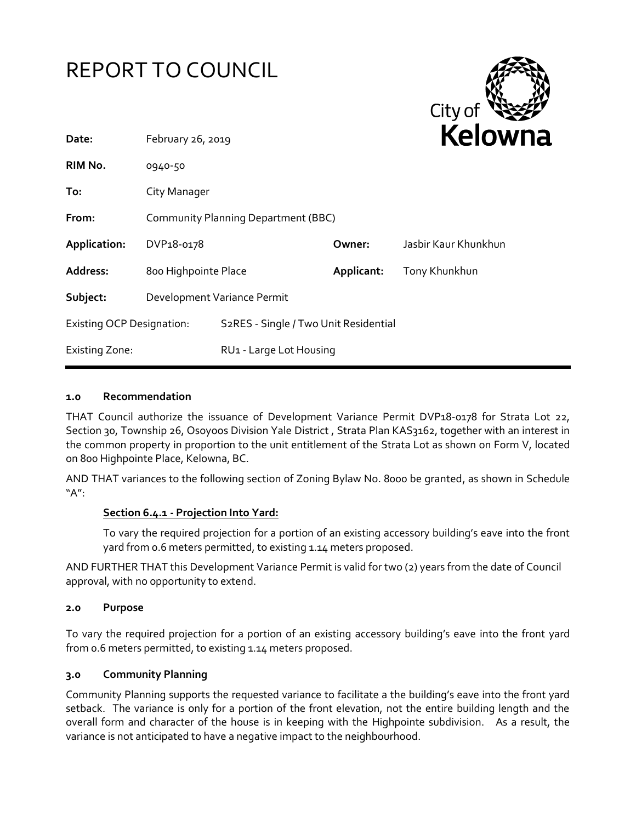



| Date:                            | February 26, 2019                   |                                       |            | Nelow                |
|----------------------------------|-------------------------------------|---------------------------------------|------------|----------------------|
| RIM No.                          | 0940-50                             |                                       |            |                      |
| To:                              | City Manager                        |                                       |            |                      |
| From:                            | Community Planning Department (BBC) |                                       |            |                      |
| Application:                     | DVP18-0178                          |                                       | Owner:     | Jasbir Kaur Khunkhun |
| Address:                         | 800 Highpointe Place                |                                       | Applicant: | Tony Khunkhun        |
| Subject:                         | Development Variance Permit         |                                       |            |                      |
| <b>Existing OCP Designation:</b> |                                     | S2RES - Single / Two Unit Residential |            |                      |
| <b>Existing Zone:</b>            |                                     | RU1 - Large Lot Housing               |            |                      |

#### **1.0 Recommendation**

THAT Council authorize the issuance of Development Variance Permit DVP18-0178 for Strata Lot 22, Section 30, Township 26, Osoyoos Division Yale District, Strata Plan KAS3162, together with an interest in the common property in proportion to the unit entitlement of the Strata Lot as shown on Form V, located on 800 Highpointe Place, Kelowna, BC.

AND THAT variances to the following section of Zoning Bylaw No. 8000 be granted, as shown in Schedule "A":

#### **Section 6.4.1 - Projection Into Yard:**

To vary the required projection for a portion of an existing accessory building's eave into the front yard from 0.6 meters permitted, to existing 1.14 meters proposed.

AND FURTHER THAT this Development Variance Permit is valid for two (2) years from the date of Council approval, with no opportunity to extend.

#### **2.0 Purpose**

To vary the required projection for a portion of an existing accessory building's eave into the front yard from 0.6 meters permitted, to existing 1.14 meters proposed.

#### **3.0 Community Planning**

Community Planning supports the requested variance to facilitate a the building's eave into the front yard setback. The variance is only for a portion of the front elevation, not the entire building length and the overall form and character of the house is in keeping with the Highpointe subdivision. As a result, the variance is not anticipated to have a negative impact to the neighbourhood.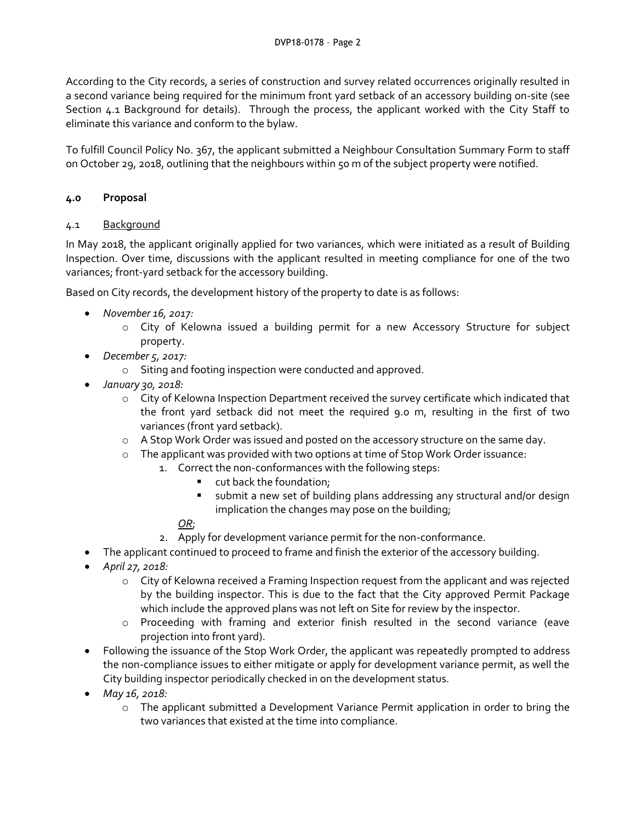According to the City records, a series of construction and survey related occurrences originally resulted in a second variance being required for the minimum front yard setback of an accessory building on-site (see Section 4.1 Background for details). Through the process, the applicant worked with the City Staff to eliminate this variance and conform to the bylaw.

To fulfill Council Policy No. 367, the applicant submitted a Neighbour Consultation Summary Form to staff on October 29, 2018, outlining that the neighbours within 50 m of the subject property were notified.

# **4.0 Proposal**

## 4.1 Background

In May 2018, the applicant originally applied for two variances, which were initiated as a result of Building Inspection. Over time, discussions with the applicant resulted in meeting compliance for one of the two variances; front-yard setback for the accessory building.

Based on City records, the development history of the property to date is as follows:

- *November 16, 2017:*
	- o City of Kelowna issued a building permit for a new Accessory Structure for subject property.
- *December 5, 2017:*
	- o Siting and footing inspection were conducted and approved.
- *January 30, 2018:*
	- o City of Kelowna Inspection Department received the survey certificate which indicated that the front yard setback did not meet the required 9.0 m, resulting in the first of two variances (front yard setback).
	- o A Stop Work Order was issued and posted on the accessory structure on the same day.
	- $\circ$  The applicant was provided with two options at time of Stop Work Order issuance:
		- 1. Correct the non-conformances with the following steps:
			- **•** cut back the foundation:
			- submit a new set of building plans addressing any structural and/or design implication the changes may pose on the building;

## *OR*;

- 2. Apply for development variance permit for the non-conformance.
- The applicant continued to proceed to frame and finish the exterior of the accessory building.
- *April 27, 2018:*
	- o City of Kelowna received a Framing Inspection request from the applicant and was rejected by the building inspector. This is due to the fact that the City approved Permit Package which include the approved plans was not left on Site for review by the inspector.
	- o Proceeding with framing and exterior finish resulted in the second variance (eave projection into front yard).
- Following the issuance of the Stop Work Order, the applicant was repeatedly prompted to address the non-compliance issues to either mitigate or apply for development variance permit, as well the City building inspector periodically checked in on the development status.
- *May 16, 2018:*
	- o The applicant submitted a Development Variance Permit application in order to bring the two variances that existed at the time into compliance.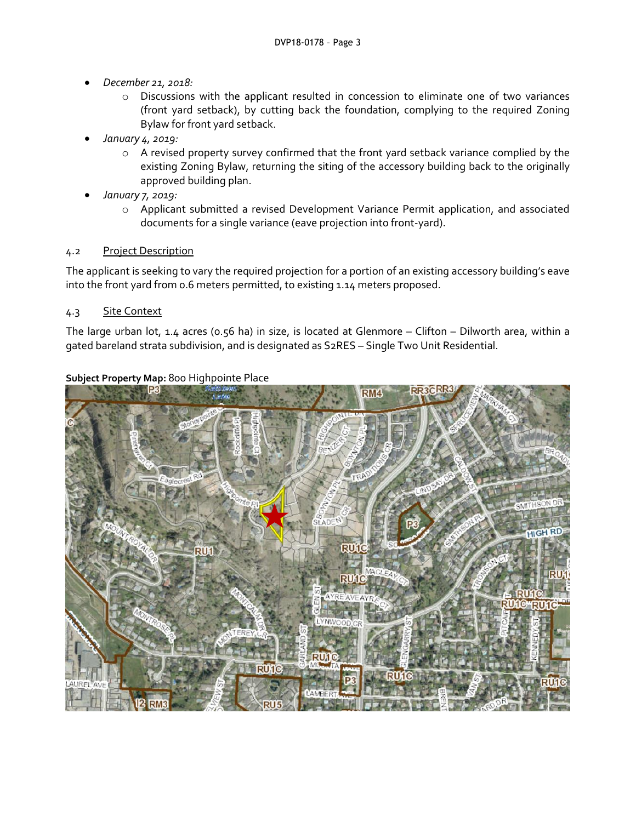- *December 21, 2018:*
	- o Discussions with the applicant resulted in concession to eliminate one of two variances (front yard setback), by cutting back the foundation, complying to the required Zoning Bylaw for front yard setback.
- *January 4, 2019:*
	- o A revised property survey confirmed that the front yard setback variance complied by the existing Zoning Bylaw, returning the siting of the accessory building back to the originally approved building plan.
- *January 7, 2019:*
	- o Applicant submitted a revised Development Variance Permit application, and associated documents for a single variance (eave projection into front-yard).

# 4.2 Project Description

The applicant is seeking to vary the required projection for a portion of an existing accessory building's eave into the front yard from 0.6 meters permitted, to existing 1.14 meters proposed.

## 4.3 Site Context

The large urban lot, 1.4 acres (0.56 ha) in size, is located at Glenmore – Clifton – Dilworth area, within a gated bareland strata subdivision, and is designated as S2RES – Single Two Unit Residential.

## **Subject Property Map:** 800 Highpointe Place